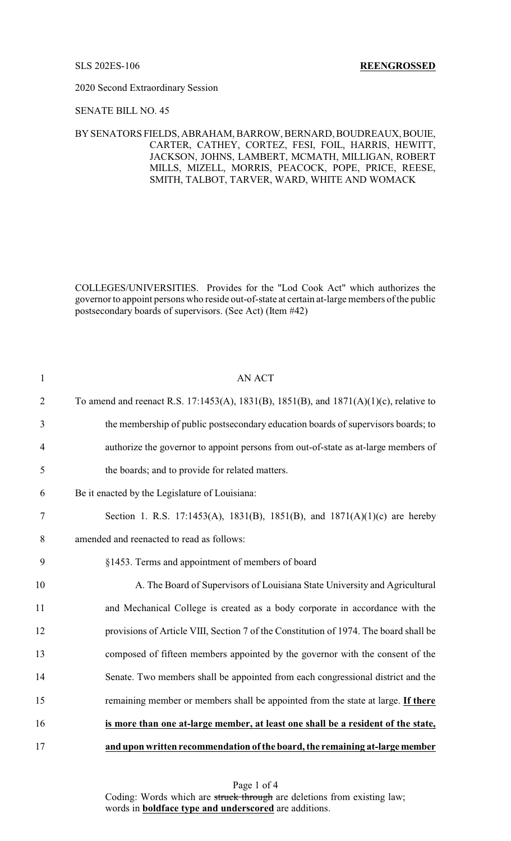2020 Second Extraordinary Session

### SENATE BILL NO. 45

## BYSENATORS FIELDS, ABRAHAM, BARROW, BERNARD, BOUDREAUX, BOUIE, CARTER, CATHEY, CORTEZ, FESI, FOIL, HARRIS, HEWITT, JACKSON, JOHNS, LAMBERT, MCMATH, MILLIGAN, ROBERT MILLS, MIZELL, MORRIS, PEACOCK, POPE, PRICE, REESE, SMITH, TALBOT, TARVER, WARD, WHITE AND WOMACK

COLLEGES/UNIVERSITIES. Provides for the "Lod Cook Act" which authorizes the governor to appoint persons who reside out-of-state at certain at-large members of the public postsecondary boards of supervisors. (See Act) (Item #42)

| $\mathbf{1}$   | <b>AN ACT</b>                                                                          |
|----------------|----------------------------------------------------------------------------------------|
| $\overline{2}$ | To amend and reenact R.S. 17:1453(A), 1831(B), 1851(B), and 1871(A)(1)(c), relative to |
| 3              | the membership of public postsecondary education boards of supervisors boards; to      |
| $\overline{4}$ | authorize the governor to appoint persons from out-of-state as at-large members of     |
| 5              | the boards; and to provide for related matters.                                        |
| 6              | Be it enacted by the Legislature of Louisiana:                                         |
| 7              | Section 1. R.S. 17:1453(A), 1831(B), 1851(B), and 1871(A)(1)(c) are hereby             |
| 8              | amended and reenacted to read as follows:                                              |
| 9              | §1453. Terms and appointment of members of board                                       |
| 10             | A. The Board of Supervisors of Louisiana State University and Agricultural             |
| 11             | and Mechanical College is created as a body corporate in accordance with the           |
| 12             | provisions of Article VIII, Section 7 of the Constitution of 1974. The board shall be  |
| 13             | composed of fifteen members appointed by the governor with the consent of the          |
| 14             | Senate. Two members shall be appointed from each congressional district and the        |
| 15             | remaining member or members shall be appointed from the state at large. If there       |
| 16             | is more than one at-large member, at least one shall be a resident of the state,       |
| 17             | and upon written recommendation of the board, the remaining at-large member            |

Page 1 of 4 Coding: Words which are struck through are deletions from existing law; words in **boldface type and underscored** are additions.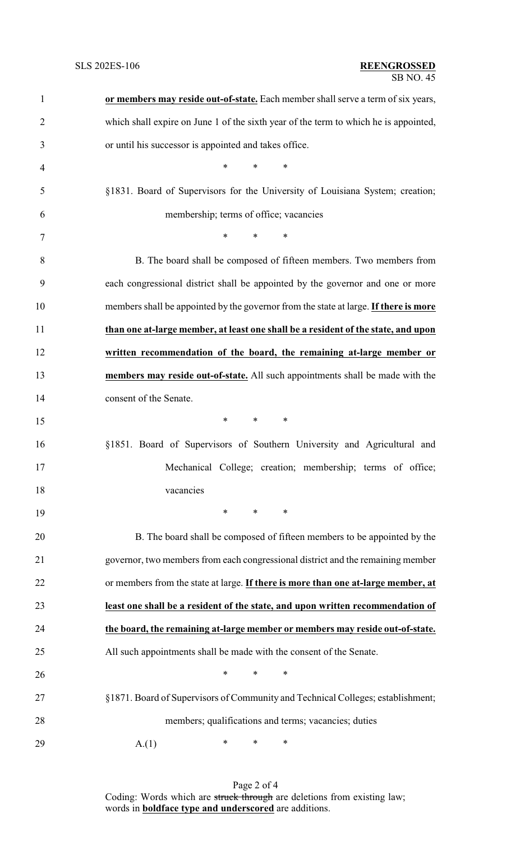| $\mathbf{1}$   | or members may reside out-of-state. Each member shall serve a term of six years,     |
|----------------|--------------------------------------------------------------------------------------|
| $\overline{2}$ | which shall expire on June 1 of the sixth year of the term to which he is appointed, |
| 3              | or until his successor is appointed and takes office.                                |
| $\overline{4}$ | $\ast$<br>$\ast$<br>$\ast$                                                           |
| 5              | §1831. Board of Supervisors for the University of Louisiana System; creation;        |
| 6              | membership; terms of office; vacancies                                               |
| $\tau$         | $\ast$<br>$\ast$<br>$\ast$                                                           |
| 8              | B. The board shall be composed of fifteen members. Two members from                  |
| 9              | each congressional district shall be appointed by the governor and one or more       |
| 10             | members shall be appointed by the governor from the state at large. If there is more |
| 11             | than one at-large member, at least one shall be a resident of the state, and upon    |
| 12             | written recommendation of the board, the remaining at-large member or                |
| 13             | members may reside out-of-state. All such appointments shall be made with the        |
| 14             | consent of the Senate.                                                               |
| 15             | $*$ and $*$<br>$*$ and $*$<br>∗                                                      |
| 16             | §1851. Board of Supervisors of Southern University and Agricultural and              |
| 17             | Mechanical College; creation; membership; terms of office;                           |
| 18             | vacancies                                                                            |
| 19             | $\ast$<br>$\ast$<br>∗                                                                |
| 20             | B. The board shall be composed of fifteen members to be appointed by the             |
| 21             | governor, two members from each congressional district and the remaining member      |
| 22             | or members from the state at large. If there is more than one at-large member, at    |
| 23             | least one shall be a resident of the state, and upon written recommendation of       |
| 24             | the board, the remaining at-large member or members may reside out-of-state.         |
| 25             | All such appointments shall be made with the consent of the Senate.                  |
| 26             | ∗<br>∗<br>∗                                                                          |
| 27             | §1871. Board of Supervisors of Community and Technical Colleges; establishment;      |
| 28             | members; qualifications and terms; vacancies; duties                                 |
| 29             | ∗<br>∗<br>A(1)<br>∗                                                                  |

Page 2 of 4 Coding: Words which are struck through are deletions from existing law; words in **boldface type and underscored** are additions.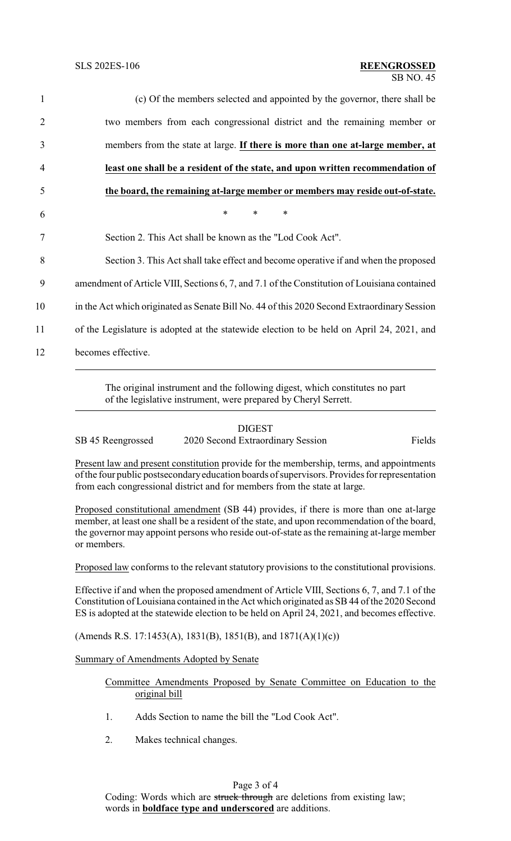| $\mathbf{1}$ | (c) Of the members selected and appointed by the governor, there shall be                    |
|--------------|----------------------------------------------------------------------------------------------|
| 2            | two members from each congressional district and the remaining member or                     |
| 3            | members from the state at large. If there is more than one at-large member, at               |
| 4            | least one shall be a resident of the state, and upon written recommendation of               |
| 5            | the board, the remaining at-large member or members may reside out-of-state.                 |
| 6            | $\ast$<br>$\ast$<br>∗                                                                        |
| 7            | Section 2. This Act shall be known as the "Lod Cook Act".                                    |
| 8            | Section 3. This Act shall take effect and become operative if and when the proposed          |
|              | amendment of Article VIII, Sections 6, 7, and 7.1 of the Constitution of Louisiana contained |
|              | in the Act which originated as Senate Bill No. 44 of this 2020 Second Extraordinary Session  |
|              | of the Legislature is adopted at the statewide election to be held on April 24, 2021, and    |
|              | becomes effective.                                                                           |
|              |                                                                                              |

The original instrument and the following digest, which constitutes no part of the legislative instrument, were prepared by Cheryl Serrett.

### DIGEST

SB 45 Reengrossed 2020 Second Extraordinary Session Fields

Present law and present constitution provide for the membership, terms, and appointments of the four public postsecondaryeducation boards of supervisors. Provides for representation from each congressional district and for members from the state at large.

Proposed constitutional amendment (SB 44) provides, if there is more than one at-large member, at least one shall be a resident of the state, and upon recommendation of the board, the governor may appoint persons who reside out-of-state as the remaining at-large member or members.

Proposed law conforms to the relevant statutory provisions to the constitutional provisions.

Effective if and when the proposed amendment of Article VIII, Sections 6, 7, and 7.1 of the Constitution of Louisiana contained in the Act which originated as SB 44 of the 2020 Second ES is adopted at the statewide election to be held on April 24, 2021, and becomes effective.

(Amends R.S. 17:1453(A), 1831(B), 1851(B), and  $1871(A)(1)(c)$ )

Summary of Amendments Adopted by Senate

Committee Amendments Proposed by Senate Committee on Education to the original bill

- 1. Adds Section to name the bill the "Lod Cook Act".
- 2. Makes technical changes.

# Page 3 of 4

Coding: Words which are struck through are deletions from existing law; words in **boldface type and underscored** are additions.